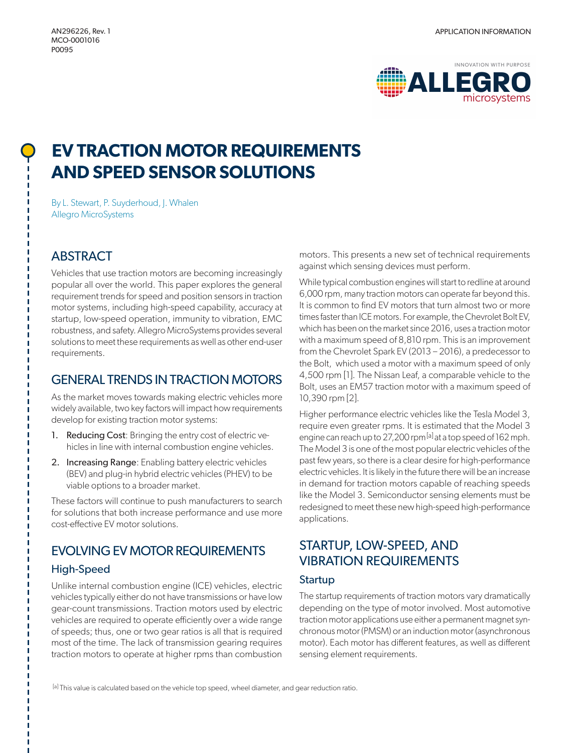

# **EV TRACTION MOTOR REQUIREMENTS AND SPEED SENSOR SOLUTIONS**

By L. Stewart, P. Suyderhoud, J. Whalen Allegro MicroSystems

### **ABSTRACT**

Vehicles that use traction motors are becoming increasingly popular all over the world. This paper explores the general requirement trends for speed and position sensors in traction motor systems, including high-speed capability, accuracy at startup, low-speed operation, immunity to vibration, EMC robustness, and safety. Allegro MicroSystems provides several solutions to meet these requirements as well as other end-user requirements.

### GENERAL TRENDS IN TRACTION MOTORS

As the market moves towards making electric vehicles more widely available, two key factors will impact how requirements develop for existing traction motor systems:

- 1. Reducing Cost: Bringing the entry cost of electric vehicles in line with internal combustion engine vehicles.
- 2. Increasing Range: Enabling battery electric vehicles (BEV) and plug-in hybrid electric vehicles (PHEV) to be viable options to a broader market.

These factors will continue to push manufacturers to search for solutions that both increase performance and use more cost-effective EV motor solutions.

### EVOLVING EV MOTOR REQUIREMENTS

### High-Speed

Unlike internal combustion engine (ICE) vehicles, electric vehicles typically either do not have transmissions or have low gear-count transmissions. Traction motors used by electric vehicles are required to operate efficiently over a wide range of speeds; thus, one or two gear ratios is all that is required most of the time. The lack of transmission gearing requires traction motors to operate at higher rpms than combustion

motors. This presents a new set of technical requirements against which sensing devices must perform.

While typical combustion engines will start to redline at around 6,000 rpm, many traction motors can operate far beyond this. It is common to find EV motors that turn almost two or more times faster than ICE motors. For example, the Chevrolet Bolt EV, which has been on the market since 2016, uses a traction motor with a maximum speed of 8,810 rpm. This is an improvement from the Chevrolet Spark EV (2013 – 2016), a predecessor to the Bolt, which used a motor with a maximum speed of only 4,500 rpm [1]. The Nissan Leaf, a comparable vehicle to the Bolt, uses an EM57 traction motor with a maximum speed of 10,390 rpm [2].

Higher performance electric vehicles like the Tesla Model 3, require even greater rpms. It is estimated that the Model 3 engine can reach up to 27,200 rpm [a] at a top speed of 162 mph. The Model 3 is one of the most popular electric vehicles of the past few years, so there is a clear desire for high-performance electric vehicles. It is likely in the future there will be an increase in demand for traction motors capable of reaching speeds like the Model 3. Semiconductor sensing elements must be redesigned to meet these new high-speed high-performance applications.

# STARTUP, LOW-SPEED, AND VIBRATION REQUIREMENTS

### **Startup**

The startup requirements of traction motors vary dramatically depending on the type of motor involved. Most automotive traction motor applications use either a permanent magnet synchronous motor (PMSM) or an induction motor (asynchronous motor). Each motor has different features, as well as different sensing element requirements.

[a] This value is calculated based on the vehicle top speed, wheel diameter, and gear reduction ratio.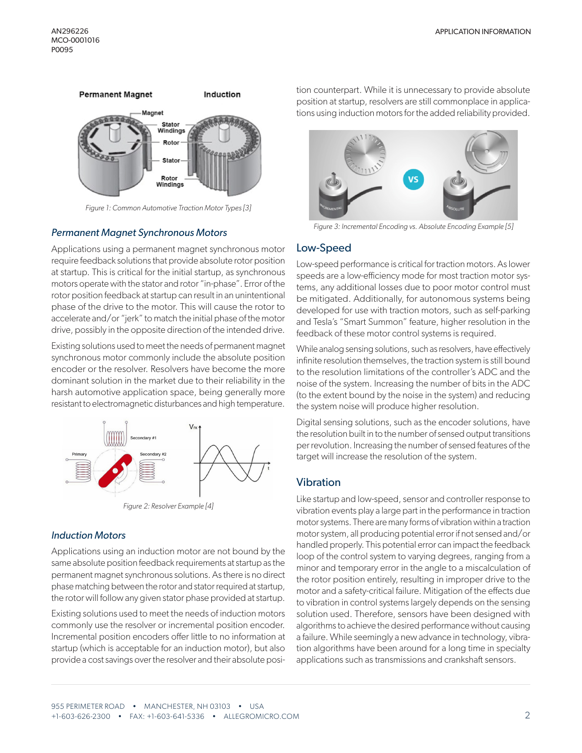

*Figure 1: Common Automotive Traction Motor Types [3]*

### *Permanent Magnet Synchronous Motors*

Applications using a permanent magnet synchronous motor require feedback solutions that provide absolute rotor position at startup. This is critical for the initial startup, as synchronous motors operate with the stator and rotor "in-phase". Error of the rotor position feedback at startup can result in an unintentional phase of the drive to the motor. This will cause the rotor to accelerate and/or "jerk" to match the initial phase of the motor drive, possibly in the opposite direction of the intended drive.

Existing solutions used to meet the needs of permanent magnet synchronous motor commonly include the absolute position encoder or the resolver. Resolvers have become the more dominant solution in the market due to their reliability in the harsh automotive application space, being generally more resistant to electromagnetic disturbances and high temperature.



*Figure 2: Resolver Example [4]*

#### *Induction Motors*

Applications using an induction motor are not bound by the same absolute position feedback requirements at startup as the permanent magnet synchronous solutions. As there is no direct phase matching between the rotor and stator required at startup, the rotor will follow any given stator phase provided at startup.

Existing solutions used to meet the needs of induction motors commonly use the resolver or incremental position encoder. Incremental position encoders offer little to no information at startup (which is acceptable for an induction motor), but also provide a cost savings over the resolver and their absolute position counterpart. While it is unnecessary to provide absolute position at startup, resolvers are still commonplace in applications using induction motors for the added reliability provided.



*Figure 3: Incremental Encoding vs. Absolute Encoding Example [5]*

#### Low-Speed

Low-speed performance is critical for traction motors. As lower speeds are a low-efficiency mode for most traction motor systems, any additional losses due to poor motor control must be mitigated. Additionally, for autonomous systems being developed for use with traction motors, such as self-parking and Tesla's "Smart Summon" feature, higher resolution in the feedback of these motor control systems is required.

While analog sensing solutions, such as resolvers, have effectively infinite resolution themselves, the traction system is still bound to the resolution limitations of the controller's ADC and the noise of the system. Increasing the number of bits in the ADC (to the extent bound by the noise in the system) and reducing the system noise will produce higher resolution.

Digital sensing solutions, such as the encoder solutions, have the resolution built in to the number of sensed output transitions per revolution. Increasing the number of sensed features of the target will increase the resolution of the system.

#### Vibration

Like startup and low-speed, sensor and controller response to vibration events play a large part in the performance in traction motor systems. There are many forms of vibration within a traction motor system, all producing potential error if not sensed and/or handled properly. This potential error can impact the feedback loop of the control system to varying degrees, ranging from a minor and temporary error in the angle to a miscalculation of the rotor position entirely, resulting in improper drive to the motor and a safety-critical failure. Mitigation of the effects due to vibration in control systems largely depends on the sensing solution used. Therefore, sensors have been designed with algorithms to achieve the desired performance without causing a failure. While seemingly a new advance in technology, vibration algorithms have been around for a long time in specialty applications such as transmissions and crankshaft sensors.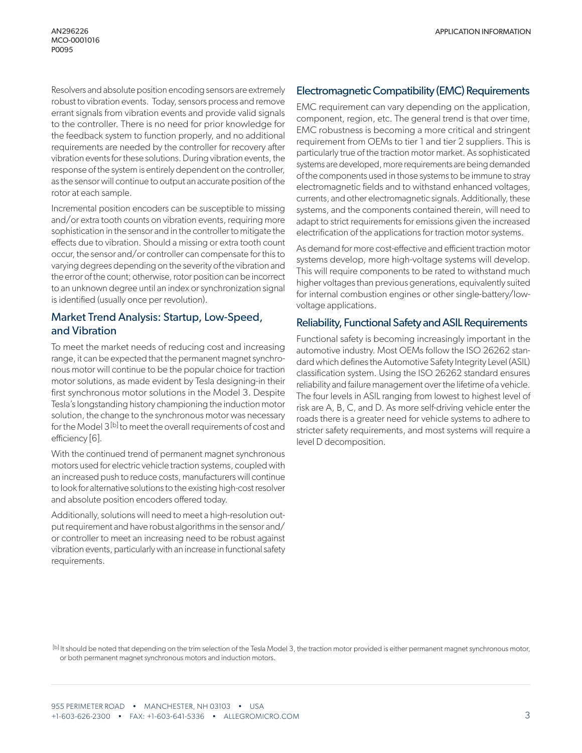Resolvers and absolute position encoding sensors are extremely robust to vibration events. Today, sensors process and remove errant signals from vibration events and provide valid signals to the controller. There is no need for prior knowledge for the feedback system to function properly, and no additional requirements are needed by the controller for recovery after vibration events for these solutions. During vibration events, the response of the system is entirely dependent on the controller, as the sensor will continue to output an accurate position of the rotor at each sample.

Incremental position encoders can be susceptible to missing and/or extra tooth counts on vibration events, requiring more sophistication in the sensor and in the controller to mitigate the effects due to vibration. Should a missing or extra tooth count occur, the sensor and/or controller can compensate for this to varying degrees depending on the severity of the vibration and the error of the count; otherwise, rotor position can be incorrect to an unknown degree until an index or synchronization signal is identified (usually once per revolution).

### Market Trend Analysis: Startup, Low-Speed, and Vibration

To meet the market needs of reducing cost and increasing range, it can be expected that the permanent magnet synchronous motor will continue to be the popular choice for traction motor solutions, as made evident by Tesla designing-in their first synchronous motor solutions in the Model 3. Despite Tesla's longstanding history championing the induction motor solution, the change to the synchronous motor was necessary for the Model 3<sup>[b]</sup> to meet the overall requirements of cost and efficiency [6].

With the continued trend of permanent magnet synchronous motors used for electric vehicle traction systems, coupled with an increased push to reduce costs, manufacturers will continue to look for alternative solutions to the existing high-cost resolver and absolute position encoders offered today.

Additionally, solutions will need to meet a high-resolution output requirement and have robust algorithms in the sensor and/ or controller to meet an increasing need to be robust against vibration events, particularly with an increase in functional safety requirements.

### Electromagnetic Compatibility (EMC) Requirements

EMC requirement can vary depending on the application, component, region, etc. The general trend is that over time, EMC robustness is becoming a more critical and stringent requirement from OEMs to tier 1 and tier 2 suppliers. This is particularly true of the traction motor market. As sophisticated systems are developed, more requirements are being demanded of the components used in those systems to be immune to stray electromagnetic fields and to withstand enhanced voltages, currents, and other electromagnetic signals. Additionally, these systems, and the components contained therein, will need to adapt to strict requirements for emissions given the increased electrification of the applications for traction motor systems.

As demand for more cost-effective and efficient traction motor systems develop, more high-voltage systems will develop. This will require components to be rated to withstand much higher voltages than previous generations, equivalently suited for internal combustion engines or other single-battery/lowvoltage applications.

#### Reliability, Functional Safety and ASIL Requirements

Functional safety is becoming increasingly important in the automotive industry. Most OEMs follow the ISO 26262 standard which defines the Automotive Safety Integrity Level (ASIL) classification system. Using the ISO 26262 standard ensures reliability and failure management over the lifetime of a vehicle. The four levels in ASIL ranging from lowest to highest level of risk are A, B, C, and D. As more self-driving vehicle enter the roads there is a greater need for vehicle systems to adhere to stricter safety requirements, and most systems will require a level D decomposition.

[b] It should be noted that depending on the trim selection of the Tesla Model 3, the traction motor provided is either permanent magnet synchronous motor, or both permanent magnet synchronous motors and induction motors.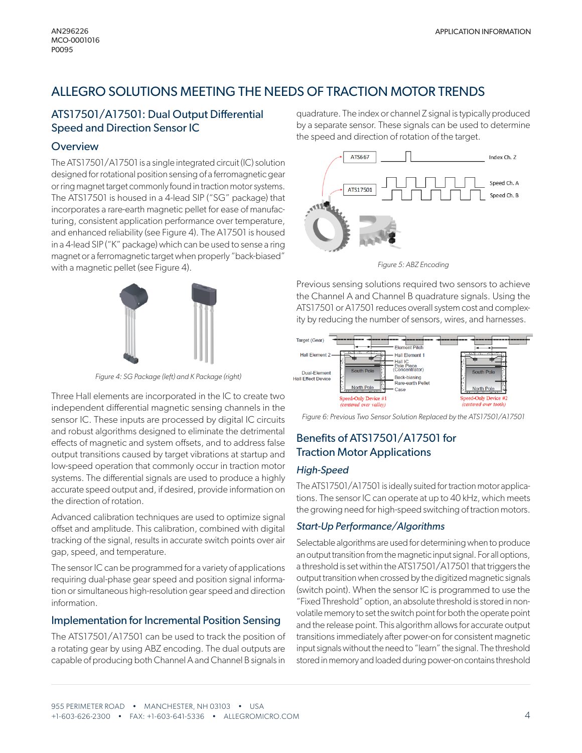# ALLEGRO SOLUTIONS MEETING THE NEEDS OF TRACTION MOTOR TRENDS

### ATS17501/A17501: Dual Output Differential Speed and Direction Sensor IC

### **Overview**

The ATS17501/A17501 is a single integrated circuit (IC) solution designed for rotational position sensing of a ferromagnetic gear or ring magnet target commonly found in traction motor systems. The ATS17501 is housed in a 4-lead SIP ("SG" package) that incorporates a rare-earth magnetic pellet for ease of manufacturing, consistent application performance over temperature, and enhanced reliability (see Figure 4). The A17501 is housed in a 4-lead SIP ("K" package) which can be used to sense a ring magnet or a ferromagnetic target when properly "back-biased" with a magnetic pellet (see Figure 4).



*Figure 4: SG Package (left) and K Package (right)*

Three Hall elements are incorporated in the IC to create two independent differential magnetic sensing channels in the sensor IC. These inputs are processed by digital IC circuits and robust algorithms designed to eliminate the detrimental effects of magnetic and system offsets, and to address false output transitions caused by target vibrations at startup and low-speed operation that commonly occur in traction motor systems. The differential signals are used to produce a highly accurate speed output and, if desired, provide information on the direction of rotation.

Advanced calibration techniques are used to optimize signal offset and amplitude. This calibration, combined with digital tracking of the signal, results in accurate switch points over air gap, speed, and temperature.

The sensor IC can be programmed for a variety of applications requiring dual-phase gear speed and position signal information or simultaneous high-resolution gear speed and direction information.

### Implementation for Incremental Position Sensing

The ATS17501/A17501 can be used to track the position of a rotating gear by using ABZ encoding. The dual outputs are capable of producing both Channel A and Channel B signals in

quadrature. The index or channel Z signal is typically produced by a separate sensor. These signals can be used to determine the speed and direction of rotation of the target.



*Figure 5: ABZ Encoding*

Previous sensing solutions required two sensors to achieve the Channel A and Channel B quadrature signals. Using the ATS17501 or A17501 reduces overall system cost and complexity by reducing the number of sensors, wires, and harnesses.



*Figure 6: Previous Two Sensor Solution Replaced by the ATS17501/A17501* 

### Benefits of ATS17501/A17501 for Traction Motor Applications

### *High-Speed*

The ATS17501/A17501 is ideally suited for traction motor applications. The sensor IC can operate at up to 40 kHz, which meets the growing need for high-speed switching of traction motors.

### *Start-Up Performance/Algorithms*

Selectable algorithms are used for determining when to produce an output transition from the magnetic input signal. For all options, a threshold is set within the ATS17501/A17501 that triggers the output transition when crossed by the digitized magnetic signals (switch point). When the sensor IC is programmed to use the "Fixed Threshold" option, an absolute threshold is stored in nonvolatile memory to set the switch point for both the operate point and the release point. This algorithm allows for accurate output transitions immediately after power-on for consistent magnetic input signals without the need to "learn" the signal. The threshold stored in memory and loaded during power-on contains threshold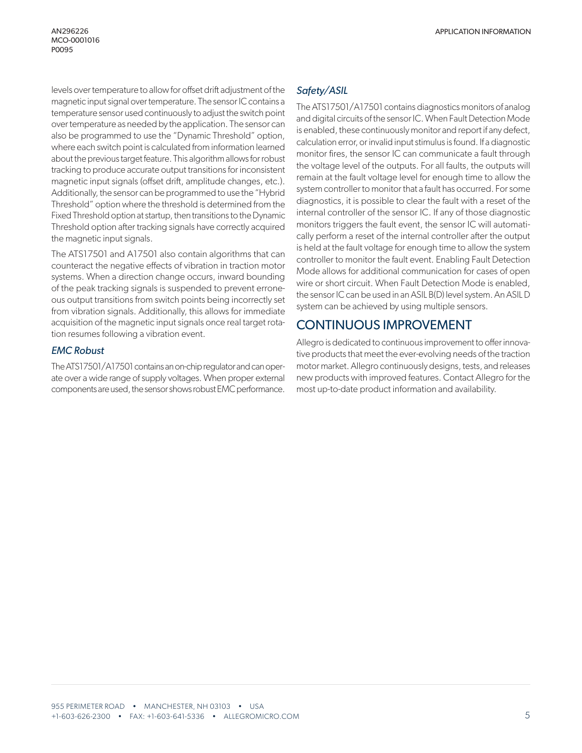levels over temperature to allow for offset drift adjustment of the magnetic input signal over temperature. The sensor IC contains a temperature sensor used continuously to adjust the switch point over temperature as needed by the application. The sensor can also be programmed to use the "Dynamic Threshold" option, where each switch point is calculated from information learned about the previous target feature. This algorithm allows for robust tracking to produce accurate output transitions for inconsistent magnetic input signals (offset drift, amplitude changes, etc.). Additionally, the sensor can be programmed to use the "Hybrid Threshold" option where the threshold is determined from the Fixed Threshold option at startup, then transitions to the Dynamic Threshold option after tracking signals have correctly acquired the magnetic input signals.

The ATS17501 and A17501 also contain algorithms that can counteract the negative effects of vibration in traction motor systems. When a direction change occurs, inward bounding of the peak tracking signals is suspended to prevent erroneous output transitions from switch points being incorrectly set from vibration signals. Additionally, this allows for immediate acquisition of the magnetic input signals once real target rotation resumes following a vibration event.

### *EMC Robust*

The ATS17501/A17501 contains an on-chip regulator and can operate over a wide range of supply voltages. When proper external components are used, the sensor shows robust EMC performance.

### *Safety/ASIL*

The ATS17501/A17501 contains diagnostics monitors of analog and digital circuits of the sensor IC. When Fault Detection Mode is enabled, these continuously monitor and report if any defect, calculation error, or invalid input stimulus is found. If a diagnostic monitor fires, the sensor IC can communicate a fault through the voltage level of the outputs. For all faults, the outputs will remain at the fault voltage level for enough time to allow the system controller to monitor that a fault has occurred. For some diagnostics, it is possible to clear the fault with a reset of the internal controller of the sensor IC. If any of those diagnostic monitors triggers the fault event, the sensor IC will automatically perform a reset of the internal controller after the output is held at the fault voltage for enough time to allow the system controller to monitor the fault event. Enabling Fault Detection Mode allows for additional communication for cases of open wire or short circuit. When Fault Detection Mode is enabled, the sensor IC can be used in an ASIL B(D) level system. An ASIL D system can be achieved by using multiple sensors.

### CONTINUOUS IMPROVEMENT

Allegro is dedicated to continuous improvement to offer innovative products that meet the ever-evolving needs of the traction motor market. Allegro continuously designs, tests, and releases new products with improved features. Contact Allegro for the most up-to-date product information and availability.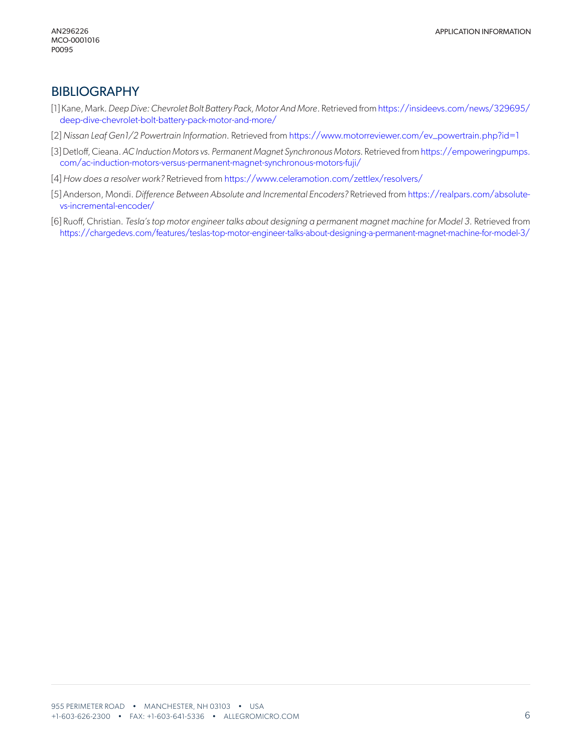### BIBLIOGRAPHY

- [1] Kane, Mark. *Deep Dive: Chevrolet Bolt Battery Pack, Motor And More*. Retrieved from [https://insideevs.com/news/329695/](https://insideevs.com/news/329695/deep-dive-chevrolet-bolt-battery-pack-motor-and-more/) [deep-dive-chevrolet-bolt-battery-pack-motor-and-more/](https://insideevs.com/news/329695/deep-dive-chevrolet-bolt-battery-pack-motor-and-more/)
- [2] *Nissan Leaf Gen1/2 Powertrain Information*. Retrieved from [https://www.motorreviewer.com/ev\\_powertrain.php?id=1](https://www.motorreviewer.com/ev_powertrain.php?id=1)
- [3] Detloff, Cieana. *AC Induction Motors vs. Permanent Magnet Synchronous Motors*. Retrieved from [https://empoweringpumps.](https://empoweringpumps.com/ac-induction-motors-versus-permanent-magnet-synchronous-motors-fuji/) [com/ac-induction-motors-versus-permanent-magnet-synchronous-motors-fuji/](https://empoweringpumps.com/ac-induction-motors-versus-permanent-magnet-synchronous-motors-fuji/)
- [4] *How does a resolver work?* Retrieved from<https://www.celeramotion.com/zettlex/resolvers/>
- [5] Anderson, Mondi. *Difference Between Absolute and Incremental Encoders?* Retrieved from [https://realpars.com/absolute](https://realpars.com/absolute-vs-incremental-encoder/)[vs-incremental-encoder/](https://realpars.com/absolute-vs-incremental-encoder/)
- [6] Ruoff, Christian. *Tesla's top motor engineer talks about designing a permanent magnet machine for Model 3.* Retrieved from [https://chargedevs.com/features/teslas-top-motor-engineer-talks-about-designing-a-permanent-magnet-machine-for-model-3/](https://chargedevs.com/features/teslas-top-motor-engineer-talks-about-designing-a-permanent-magnet-m)